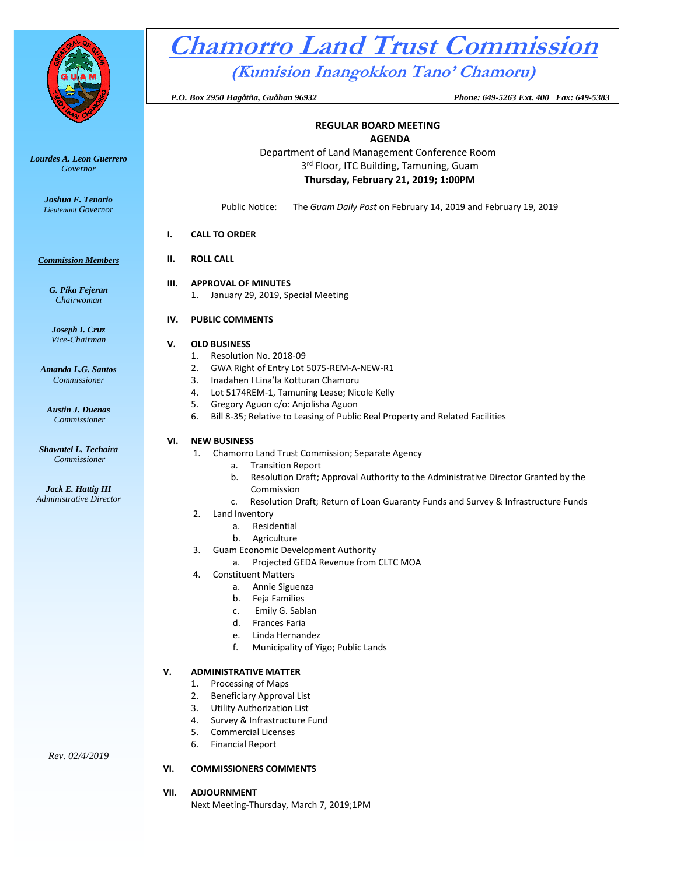

*Lourdes A. Leon Guerrero Governor* 

> *Joshua F. Tenorio Lieutenant Governor*

#### *Commission Members*

*G. Pika Fejeran Chairwoman*

*Joseph I. Cruz Vice-Chairman*

*Amanda L.G. Santos Commissioner*

*Austin J. Duenas Commissioner*

*Shawntel L. Techaira Commissioner*

*Jack E. Hattig III Administrative Director*

*Rev. 02/4/2019*

# **Chamorro Land Trust Commission**

**(Kumision Inangokkon Tano' Chamoru)**

 *P.O. Box 2950 Hagåtña, Guåhan 96932 Phone: 649-5263 Ext. 400 Fax: 649-5383*

#### **REGULAR BOARD MEETING AGENDA**

Department of Land Management Conference Room 3<sup>rd</sup> Floor, ITC Building, Tamuning, Guam **Thursday, February 21, 2019; 1:00PM**

Public Notice: The *Guam Daily Post* on February 14, 2019 and February 19, 2019

# **I. CALL TO ORDER**

# **II. ROLL CALL**

#### **III. APPROVAL OF MINUTES** 1. January 29, 2019, Special Meeting

# **IV. PUBLIC COMMENTS**

# **V. OLD BUSINESS**

- 1. Resolution No. 2018-09
- 2. GWA Right of Entry Lot 5075-REM-A-NEW-R1
- 3. Inadahen I Lina'la Kotturan Chamoru
- 4. Lot 5174REM-1, Tamuning Lease; Nicole Kelly
- 5. Gregory Aguon c/o: Anjolisha Aguon
- 6. Bill 8-35; Relative to Leasing of Public Real Property and Related Facilities

# **VI. NEW BUSINESS**

- 1. Chamorro Land Trust Commission; Separate Agency
	- a. Transition Report
		- b. Resolution Draft; Approval Authority to the Administrative Director Granted by the Commission
		- c. Resolution Draft; Return of Loan Guaranty Funds and Survey & Infrastructure Funds
- 2. Land Inventory
	- a. Residential
	- b. Agriculture
- 3. Guam Economic Development Authority
	- a. Projected GEDA Revenue from CLTC MOA
- 4. Constituent Matters
	- a. Annie Siguenza
	- b. Feja Families
	- c. Emily G. Sablan
	- d. Frances Faria
	- e. Linda Hernandez
	- f. Municipality of Yigo; Public Lands

# **V. ADMINISTRATIVE MATTER**

- 1. Processing of Maps
- 2. Beneficiary Approval List
- 3. Utility Authorization List
- 4. Survey & Infrastructure Fund
- 5. Commercial Licenses
- 6. Financial Report

# **VI. COMMISSIONERS COMMENTS**

# **VII. ADJOURNMENT**

Next Meeting-Thursday, March 7, 2019;1PM